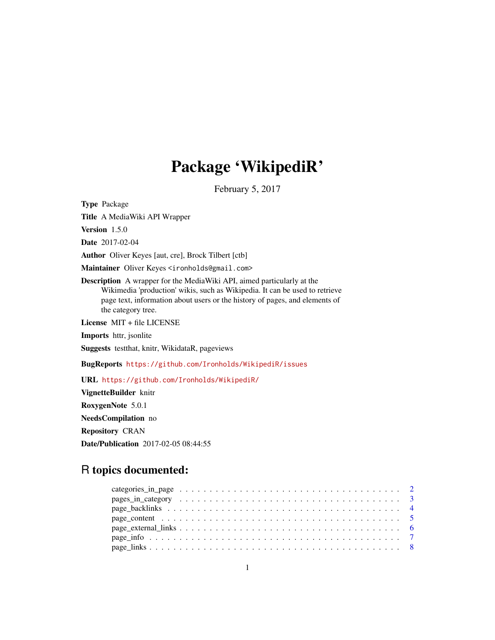# Package 'WikipediR'

February 5, 2017

Type Package

Title A MediaWiki API Wrapper

Version 1.5.0

Date 2017-02-04

Author Oliver Keyes [aut, cre], Brock Tilbert [ctb]

Maintainer Oliver Keyes <ironholds@gmail.com>

Description A wrapper for the MediaWiki API, aimed particularly at the Wikimedia 'production' wikis, such as Wikipedia. It can be used to retrieve page text, information about users or the history of pages, and elements of the category tree.

License MIT + file LICENSE

Imports httr, jsonlite

Suggests testthat, knitr, WikidataR, pageviews

BugReports <https://github.com/Ironholds/WikipediR/issues>

URL <https://github.com/Ironholds/WikipediR/>

VignetteBuilder knitr RoxygenNote 5.0.1 NeedsCompilation no Repository CRAN Date/Publication 2017-02-05 08:44:55

# R topics documented:

| page content $\ldots \ldots \ldots \ldots \ldots \ldots \ldots \ldots \ldots \ldots \ldots \ldots \ldots$ |  |
|-----------------------------------------------------------------------------------------------------------|--|
|                                                                                                           |  |
|                                                                                                           |  |
|                                                                                                           |  |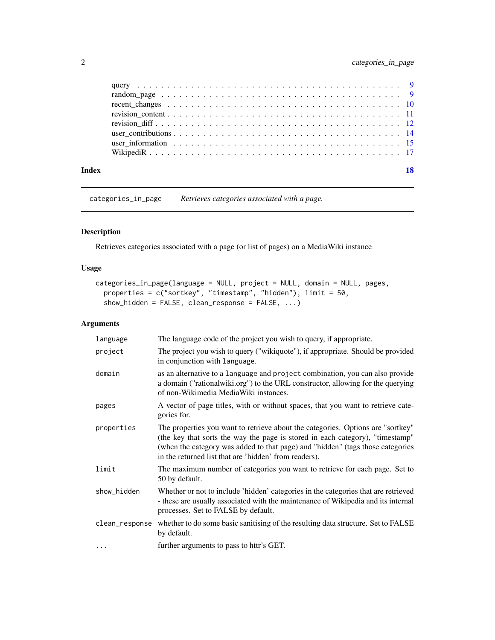<span id="page-1-0"></span>

| Index | 18 |
|-------|----|

<span id="page-1-1"></span>categories\_in\_page *Retrieves categories associated with a page.*

# Description

Retrieves categories associated with a page (or list of pages) on a MediaWiki instance

# Usage

```
categories_in_page(language = NULL, project = NULL, domain = NULL, pages,
 properties = c("sortkey", "timestamp", "hidden"), limit = 50,
  show_hidden = FALSE, clean_response = FALSE, \ldots)
```

| language       | The language code of the project you wish to query, if appropriate.                                                                                                                                                                                                                                         |
|----------------|-------------------------------------------------------------------------------------------------------------------------------------------------------------------------------------------------------------------------------------------------------------------------------------------------------------|
| project        | The project you wish to query ("wikiquote"), if appropriate. Should be provided<br>in conjunction with language.                                                                                                                                                                                            |
| domain         | as an alternative to a language and project combination, you can also provide<br>a domain ("rationalwiki.org") to the URL constructor, allowing for the querying<br>of non-Wikimedia MediaWiki instances.                                                                                                   |
| pages          | A vector of page titles, with or without spaces, that you want to retrieve cate-<br>gories for.                                                                                                                                                                                                             |
| properties     | The properties you want to retrieve about the categories. Options are "sortkey"<br>(the key that sorts the way the page is stored in each category), "timestamp"<br>(when the category was added to that page) and "hidden" (tags those categories<br>in the returned list that are 'hidden' from readers). |
| limit          | The maximum number of categories you want to retrieve for each page. Set to<br>50 by default.                                                                                                                                                                                                               |
| show_hidden    | Whether or not to include 'hidden' categories in the categories that are retrieved<br>- these are usually associated with the maintenance of Wikipedia and its internal<br>processes. Set to FALSE by default.                                                                                              |
| clean_response | whether to do some basic sanitising of the resulting data structure. Set to FALSE<br>by default.                                                                                                                                                                                                            |
| $\ddotsc$      | further arguments to pass to httr's GET.                                                                                                                                                                                                                                                                    |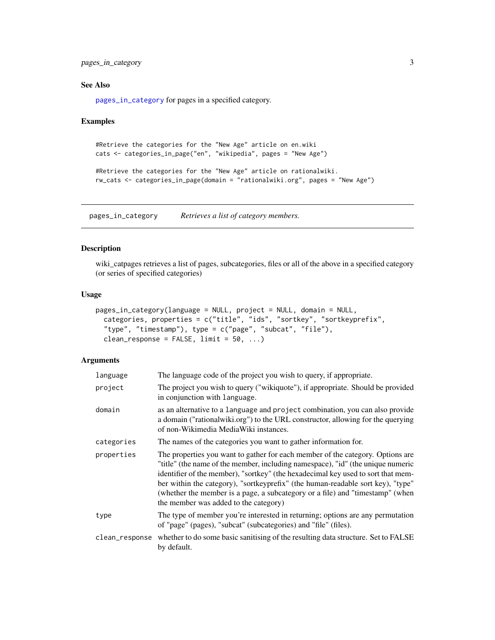<span id="page-2-0"></span>pages\_in\_category 3

#### See Also

[pages\\_in\\_category](#page-2-1) for pages in a specified category.

#### Examples

```
#Retrieve the categories for the "New Age" article on en.wiki
cats <- categories_in_page("en", "wikipedia", pages = "New Age")
```

```
#Retrieve the categories for the "New Age" article on rationalwiki.
rw_cats <- categories_in_page(domain = "rationalwiki.org", pages = "New Age")
```
<span id="page-2-1"></span>pages\_in\_category *Retrieves a list of category members.*

# Description

wiki\_catpages retrieves a list of pages, subcategories, files or all of the above in a specified category (or series of specified categories)

# Usage

```
pages_in_category(language = NULL, project = NULL, domain = NULL,
 categories, properties = c("title", "ids", "sortkey", "sortkeyprefix",
  "type", "timestamp"), type = c("page", "subcat", "file"),
  clean_response = FALSE, limit = 50, ...)
```

| language       | The language code of the project you wish to query, if appropriate.                                                                                                                                                                                                                                                                                                                                                                                                |
|----------------|--------------------------------------------------------------------------------------------------------------------------------------------------------------------------------------------------------------------------------------------------------------------------------------------------------------------------------------------------------------------------------------------------------------------------------------------------------------------|
| project        | The project you wish to query ("wikiquote"), if appropriate. Should be provided<br>in conjunction with language.                                                                                                                                                                                                                                                                                                                                                   |
| domain         | as an alternative to a language and project combination, you can also provide<br>a domain ("rationalwiki.org") to the URL constructor, allowing for the querying<br>of non-Wikimedia MediaWiki instances.                                                                                                                                                                                                                                                          |
| categories     | The names of the categories you want to gather information for.                                                                                                                                                                                                                                                                                                                                                                                                    |
| properties     | The properties you want to gather for each member of the category. Options are<br>"title" (the name of the member, including namespace), "id" (the unique numeric<br>identifier of the member), "sortkey" (the hexadecimal key used to sort that mem-<br>ber within the category), "sortkeyprefix" (the human-readable sort key), "type"<br>(whether the member is a page, a subcategory or a file) and "timestamp" (when<br>the member was added to the category) |
| type           | The type of member you're interested in returning; options are any permutation<br>of "page" (pages), "subcat" (subcategories) and "file" (files).                                                                                                                                                                                                                                                                                                                  |
| clean_response | whether to do some basic sanitising of the resulting data structure. Set to FALSE<br>by default.                                                                                                                                                                                                                                                                                                                                                                   |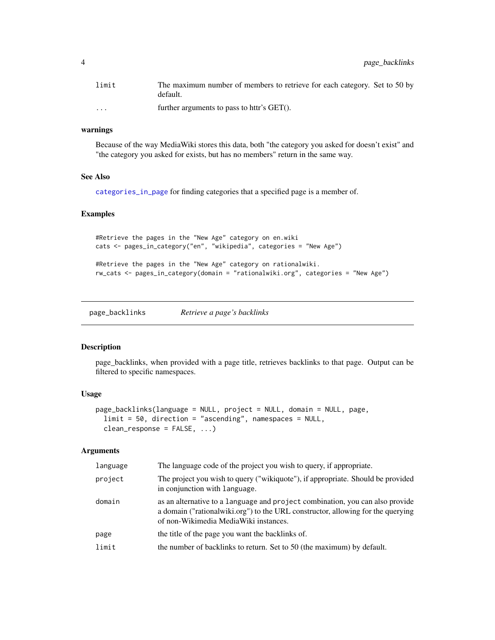<span id="page-3-0"></span>

| limit                | The maximum number of members to retrieve for each category. Set to 50 by<br>default. |
|----------------------|---------------------------------------------------------------------------------------|
| $\ddot{\phantom{0}}$ | further arguments to pass to httr's GET().                                            |

#### warnings

Because of the way MediaWiki stores this data, both "the category you asked for doesn't exist" and "the category you asked for exists, but has no members" return in the same way.

# See Also

[categories\\_in\\_page](#page-1-1) for finding categories that a specified page is a member of.

# Examples

```
#Retrieve the pages in the "New Age" category on en.wiki
cats <- pages_in_category("en", "wikipedia", categories = "New Age")
#Retrieve the pages in the "New Age" category on rationalwiki.
rw_cats <- pages_in_category(domain = "rationalwiki.org", categories = "New Age")
```
page\_backlinks *Retrieve a page's backlinks*

#### Description

page\_backlinks, when provided with a page title, retrieves backlinks to that page. Output can be filtered to specific namespaces.

#### Usage

```
page_backlinks(language = NULL, project = NULL, domain = NULL, page,
  limit = 50, direction = "ascending", namespaces = NULL,
  clean_response = FALSE, ...)
```

| language | The language code of the project you wish to query, if appropriate.                                                                                                                                         |
|----------|-------------------------------------------------------------------------------------------------------------------------------------------------------------------------------------------------------------|
| project  | The project you wish to query ("wikiquote"), if appropriate. Should be provided<br>in conjunction with language.                                                                                            |
| domain   | as an alternative to a language and project combination, you can also provide<br>a domain ("rational wiki.org") to the URL constructor, allowing for the querying<br>of non-Wikimedia Media Wiki instances. |
| page     | the title of the page you want the backlinks of.                                                                                                                                                            |
| limit    | the number of backlinks to return. Set to 50 (the maximum) by default.                                                                                                                                      |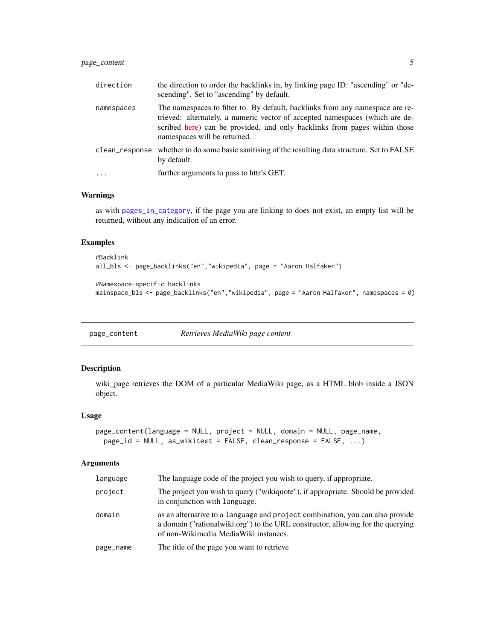# <span id="page-4-0"></span>page\_content 5

| direction  | the direction to order the backlinks in, by linking page ID: "ascending" or "de-<br>scending". Set to "ascending" by default.                                                                                                                                              |
|------------|----------------------------------------------------------------------------------------------------------------------------------------------------------------------------------------------------------------------------------------------------------------------------|
| namespaces | The namespaces to filter to. By default, backlinks from any namespace are re-<br>trieved: alternately, a numeric vector of accepted namespaces (which are de-<br>scribed here) can be provided, and only backlinks from pages within those<br>namespaces will be returned. |
|            | clean_response whether to do some basic sanitising of the resulting data structure. Set to FALSE<br>by default.                                                                                                                                                            |
| $\ddotsc$  | further arguments to pass to httr's GET.                                                                                                                                                                                                                                   |

# Warnings

as with [pages\\_in\\_category](#page-2-1), if the page you are linking to does not exist, an empty list will be returned, without any indication of an error.

#### Examples

```
#Backlink
all_bls <- page_backlinks("en","wikipedia", page = "Aaron Halfaker")
#Namespace-specific backlinks
mainspace_bls <- page_backlinks("en","wikipedia", page = "Aaron Halfaker", namespaces = 0)
```
<span id="page-4-1"></span>page\_content *Retrieves MediaWiki page content*

# Description

wiki\_page retrieves the DOM of a particular MediaWiki page, as a HTML blob inside a JSON object.

#### Usage

```
page_content(language = NULL, project = NULL, domain = NULL, page_name,
 page_id = NULL, as_wikitext = FALSE, clean_response = FALSE, ...)
```

| language  | The language code of the project you wish to query, if appropriate.                                                                                                                                         |
|-----------|-------------------------------------------------------------------------------------------------------------------------------------------------------------------------------------------------------------|
| project   | The project you wish to query ("wikiquote"), if appropriate. Should be provided<br>in conjunction with language.                                                                                            |
| domain    | as an alternative to a language and project combination, you can also provide<br>a domain ("rational wiki.org") to the URL constructor, allowing for the querying<br>of non-Wikimedia Media Wiki instances. |
| page_name | The title of the page you want to retrieve                                                                                                                                                                  |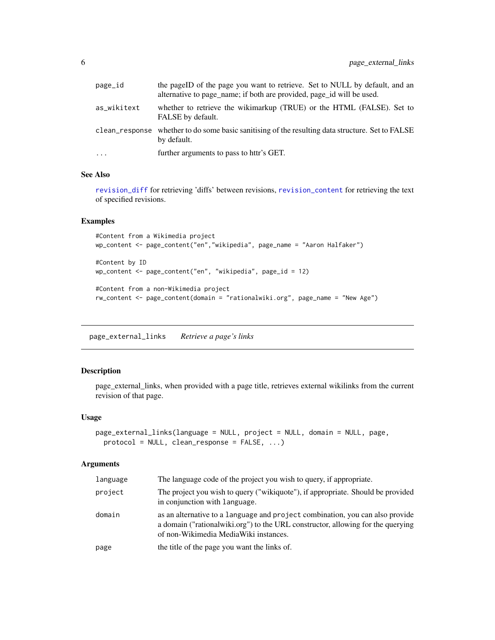<span id="page-5-0"></span>

| page_id     | the pageID of the page you want to retrieve. Set to NULL by default, and an<br>alternative to page_name; if both are provided, page_id will be used. |
|-------------|------------------------------------------------------------------------------------------------------------------------------------------------------|
| as_wikitext | whether to retrieve the wikimarkup (TRUE) or the HTML (FALSE). Set to<br>FALSE by default.                                                           |
|             | clean_response whether to do some basic sanitising of the resulting data structure. Set to FALSE<br>by default.                                      |
| .           | further arguments to pass to httr's GET.                                                                                                             |

#### See Also

[revision\\_diff](#page-11-1) for retrieving 'diffs' between revisions, [revision\\_content](#page-10-1) for retrieving the text of specified revisions.

#### Examples

```
#Content from a Wikimedia project
wp_content <- page_content("en","wikipedia", page_name = "Aaron Halfaker")
#Content by ID
wp_content <- page_content("en", "wikipedia", page_id = 12)
#Content from a non-Wikimedia project
rw_content <- page_content(domain = "rationalwiki.org", page_name = "New Age")
```
page\_external\_links *Retrieve a page's links*

# Description

page\_external\_links, when provided with a page title, retrieves external wikilinks from the current revision of that page.

# Usage

```
page_external_links(language = NULL, project = NULL, domain = NULL, page,
 protocol = NULL, clean_response = FALSE, ...)
```

| language | The language code of the project you wish to query, if appropriate.                                                                                                                                       |
|----------|-----------------------------------------------------------------------------------------------------------------------------------------------------------------------------------------------------------|
| project  | The project you wish to query ("wikiquote"), if appropriate. Should be provided<br>in conjunction with language.                                                                                          |
| domain   | as an alternative to a language and project combination, you can also provide<br>a domain ("rationalwiki.org") to the URL constructor, allowing for the querying<br>of non-Wikimedia MediaWiki instances. |
| page     | the title of the page you want the links of.                                                                                                                                                              |
|          |                                                                                                                                                                                                           |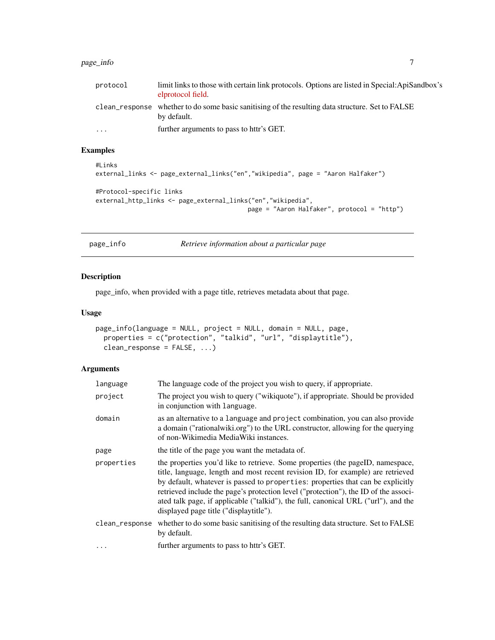#### <span id="page-6-0"></span>page\_info 7 to 2009 and 2009 and 2009 and 2009 and 2009 and 2009 and 2009 and 2009 and 2009 and 2009 and 2009  $\sigma$

| protocol  | limit links to those with certain link protocols. Options are listed in Special: ApiSandbox's<br>elprotocol field. |
|-----------|--------------------------------------------------------------------------------------------------------------------|
|           | clean_response whether to do some basic sanitising of the resulting data structure. Set to FALSE<br>by default.    |
| $\ddotsc$ | further arguments to pass to httr's GET.                                                                           |

# Examples

```
#Links
external_links <- page_external_links("en","wikipedia", page = "Aaron Halfaker")
#Protocol-specific links
external_http_links <- page_external_links("en","wikipedia",
                                          page = "Aaron Halfaker", protocol = "http")
```
page\_info *Retrieve information about a particular page*

#### Description

page\_info, when provided with a page title, retrieves metadata about that page.

#### Usage

```
page_info(language = NULL, project = NULL, domain = NULL, page,
 properties = c("protection", "talkid", "url", "displaytitle"),
 clean_response = FALSE, ...)
```

| language       | The language code of the project you wish to query, if appropriate.                                                                                                                                                                                                                                                                                                                                                                                                         |
|----------------|-----------------------------------------------------------------------------------------------------------------------------------------------------------------------------------------------------------------------------------------------------------------------------------------------------------------------------------------------------------------------------------------------------------------------------------------------------------------------------|
| project        | The project you wish to query ("wikiquote"), if appropriate. Should be provided<br>in conjunction with language.                                                                                                                                                                                                                                                                                                                                                            |
| domain         | as an alternative to a language and project combination, you can also provide<br>a domain ("rationalwiki.org") to the URL constructor, allowing for the querying<br>of non-Wikimedia MediaWiki instances.                                                                                                                                                                                                                                                                   |
| page           | the title of the page you want the metadata of.                                                                                                                                                                                                                                                                                                                                                                                                                             |
| properties     | the properties you'd like to retrieve. Some properties (the pageID, namespace,<br>title, language, length and most recent revision ID, for example) are retrieved<br>by default, whatever is passed to properties: properties that can be explicitly<br>retrieved include the page's protection level ("protection"), the ID of the associ-<br>ated talk page, if applicable ("talkid"), the full, canonical URL ("url"), and the<br>displayed page title ("displaytitle"). |
| clean_response | whether to do some basic sanitising of the resulting data structure. Set to FALSE<br>by default.                                                                                                                                                                                                                                                                                                                                                                            |
| $\cdots$       | further arguments to pass to httr's GET.                                                                                                                                                                                                                                                                                                                                                                                                                                    |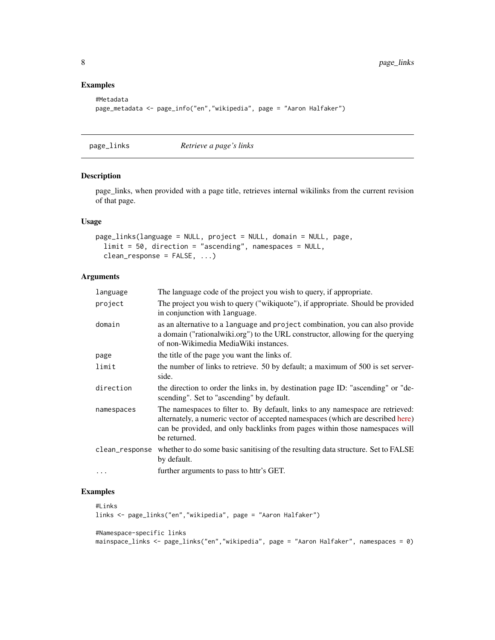# Examples

```
#Metadata
page_metadata <- page_info("en","wikipedia", page = "Aaron Halfaker")
```
page\_links *Retrieve a page's links*

# Description

page\_links, when provided with a page title, retrieves internal wikilinks from the current revision of that page.

#### Usage

```
page_links(language = NULL, project = NULL, domain = NULL, page,
  limit = 50, direction = "ascending", namespaces = NULL,
  clean_response = FALSE, ...)
```
#### Arguments

| language       | The language code of the project you wish to query, if appropriate.                                                                                                                                                                                              |
|----------------|------------------------------------------------------------------------------------------------------------------------------------------------------------------------------------------------------------------------------------------------------------------|
| project        | The project you wish to query ("wikiquote"), if appropriate. Should be provided<br>in conjunction with language.                                                                                                                                                 |
| domain         | as an alternative to a language and project combination, you can also provide<br>a domain ("rationalwiki.org") to the URL constructor, allowing for the querying<br>of non-Wikimedia MediaWiki instances.                                                        |
| page           | the title of the page you want the links of.                                                                                                                                                                                                                     |
| limit          | the number of links to retrieve. 50 by default; a maximum of 500 is set server-<br>side.                                                                                                                                                                         |
| direction      | the direction to order the links in, by destination page ID: "ascending" or "de-<br>scending". Set to "ascending" by default.                                                                                                                                    |
| namespaces     | The namespaces to filter to. By default, links to any namespace are retrieved:<br>alternately, a numeric vector of accepted namespaces (which are described here)<br>can be provided, and only backlinks from pages within those namespaces will<br>be returned. |
| clean_response | whether to do some basic sanitising of the resulting data structure. Set to FALSE<br>by default.                                                                                                                                                                 |
| .              | further arguments to pass to httr's GET.                                                                                                                                                                                                                         |

# Examples

```
#Links
links <- page_links("en","wikipedia", page = "Aaron Halfaker")
#Namespace-specific links
```
mainspace\_links <- page\_links("en","wikipedia", page = "Aaron Halfaker", namespaces = 0)

<span id="page-7-0"></span>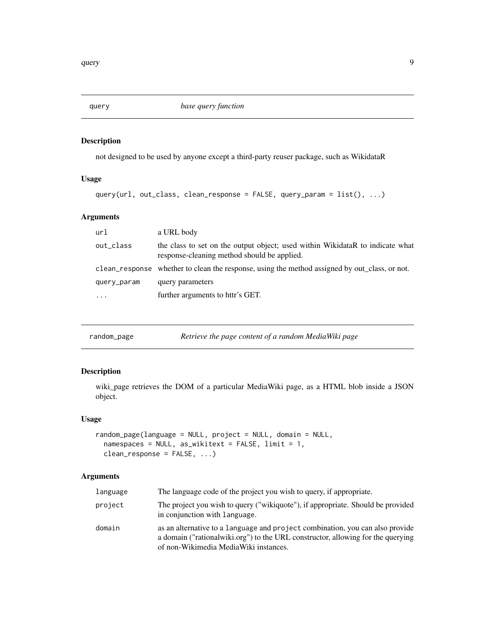<span id="page-8-0"></span>

# Description

not designed to be used by anyone except a third-party reuser package, such as WikidataR

### Usage

```
query(url, out_class, clean_response = FALSE, query_param = list(), ...)
```
# Arguments

| url         | a URL body                                                                                                                   |
|-------------|------------------------------------------------------------------------------------------------------------------------------|
| out_class   | the class to set on the output object; used within WikidataR to indicate what<br>response-cleaning method should be applied. |
|             | clean_response whether to clean the response, using the method assigned by out_class, or not.                                |
| query_param | query parameters                                                                                                             |
| $\cdots$    | further arguments to httr's GET.                                                                                             |

| random_page | Retrieve the page content of a random MediaWiki page |  |
|-------------|------------------------------------------------------|--|
|-------------|------------------------------------------------------|--|

# Description

wiki\_page retrieves the DOM of a particular MediaWiki page, as a HTML blob inside a JSON object.

#### Usage

```
random_page(language = NULL, project = NULL, domain = NULL,
 namespaces = NULL, as_wikitext = FALSE, limit = 1,
 clean_response = FALSE, ...)
```

| language | The language code of the project you wish to query, if appropriate.                                                                                                                                        |
|----------|------------------------------------------------------------------------------------------------------------------------------------------------------------------------------------------------------------|
| project  | The project you wish to query ("wikiquote"), if appropriate. Should be provided<br>in conjunction with language.                                                                                           |
| domain   | as an alternative to a language and project combination, you can also provide<br>a domain ("rational wiki.org") to the URL constructor, allowing for the querying<br>of non-Wikimedia MediaWiki instances. |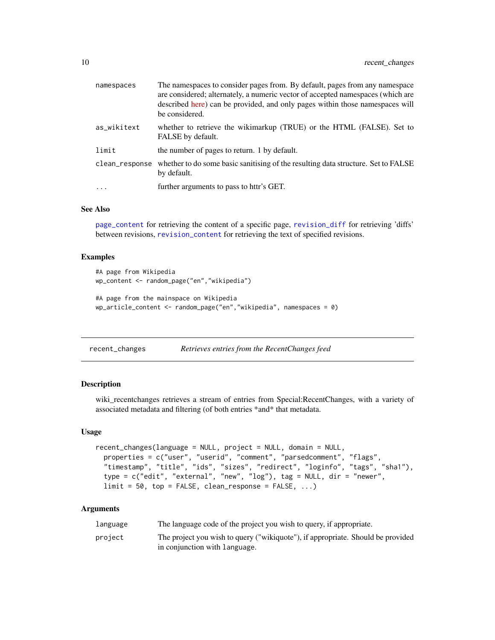<span id="page-9-0"></span>

| namespaces     | The namespaces to consider pages from. By default, pages from any namespace<br>are considered; alternately, a numeric vector of accepted namespaces (which are<br>described here) can be provided, and only pages within those namespaces will<br>be considered. |
|----------------|------------------------------------------------------------------------------------------------------------------------------------------------------------------------------------------------------------------------------------------------------------------|
| as_wikitext    | whether to retrieve the wikimarkup (TRUE) or the HTML (FALSE). Set to<br>FALSE by default.                                                                                                                                                                       |
| limit          | the number of pages to return. 1 by default.                                                                                                                                                                                                                     |
| clean_response | whether to do some basic sanitising of the resulting data structure. Set to FALSE<br>by default.                                                                                                                                                                 |
| $\cdot$        | further arguments to pass to httr's GET.                                                                                                                                                                                                                         |

#### See Also

[page\\_content](#page-4-1) for retrieving the content of a specific page, [revision\\_diff](#page-11-1) for retrieving 'diffs' between revisions, [revision\\_content](#page-10-1) for retrieving the text of specified revisions.

#### Examples

```
#A page from Wikipedia
wp_content <- random_page("en","wikipedia")
#A page from the mainspace on Wikipedia
wp_article_content <- random_page("en","wikipedia", namespaces = 0)
```

| recent_changes |  | Retrieves entries from the RecentChanges feed |  |
|----------------|--|-----------------------------------------------|--|
|----------------|--|-----------------------------------------------|--|

#### Description

wiki\_recentchanges retrieves a stream of entries from Special:RecentChanges, with a variety of associated metadata and filtering (of both entries \*and\* that metadata.

#### Usage

```
recent_changes(language = NULL, project = NULL, domain = NULL,
  properties = c("user", "userid", "comment", "parsedcomment", "flags",
  "timestamp", "title", "ids", "sizes", "redirect", "loginfo", "tags", "sha1"),
 type = c("edit", "external", "new", "log"), tag = NULL, dir = "never",limit = 50, top = FALSE, clean\_response = FALSE, ...)
```

| language | The language code of the project you wish to query, if appropriate.                                              |
|----------|------------------------------------------------------------------------------------------------------------------|
| project  | The project you wish to query ("wikiquote"), if appropriate. Should be provided<br>in conjunction with language. |
|          |                                                                                                                  |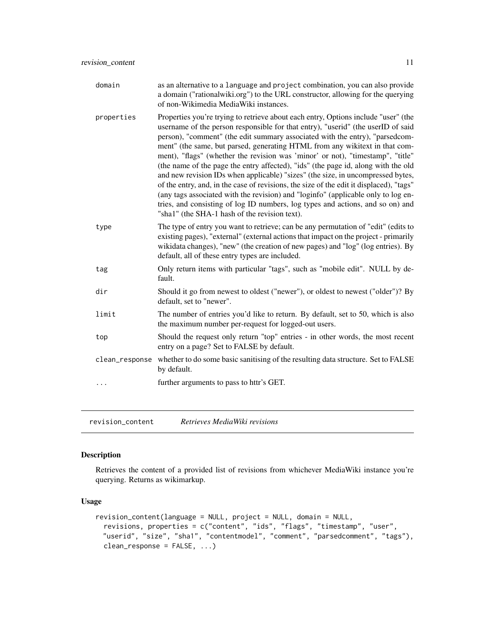<span id="page-10-0"></span>

| domain         | as an alternative to a language and project combination, you can also provide<br>a domain ("rationalwiki.org") to the URL constructor, allowing for the querying<br>of non-Wikimedia MediaWiki instances.                                                                                                                                                                                                                                                                                                                                                                                                                                                                                                                                                                                                                                                                                                          |
|----------------|--------------------------------------------------------------------------------------------------------------------------------------------------------------------------------------------------------------------------------------------------------------------------------------------------------------------------------------------------------------------------------------------------------------------------------------------------------------------------------------------------------------------------------------------------------------------------------------------------------------------------------------------------------------------------------------------------------------------------------------------------------------------------------------------------------------------------------------------------------------------------------------------------------------------|
| properties     | Properties you're trying to retrieve about each entry, Options include "user" (the<br>username of the person responsible for that entry), "userid" (the userID of said<br>person), "comment" (the edit summary associated with the entry), "parsedcom-<br>ment" (the same, but parsed, generating HTML from any wikitext in that com-<br>ment), "flags" (whether the revision was 'minor' or not), "timestamp", "title"<br>(the name of the page the entry affected), "ids" (the page id, along with the old<br>and new revision IDs when applicable) "sizes" (the size, in uncompressed bytes,<br>of the entry, and, in the case of revisions, the size of the edit it displaced), "tags"<br>(any tags associated with the revision) and "loginfo" (applicable only to log en-<br>tries, and consisting of log ID numbers, log types and actions, and so on) and<br>"sha1" (the SHA-1 hash of the revision text). |
| type           | The type of entry you want to retrieve; can be any permutation of "edit" (edits to<br>existing pages), "external" (external actions that impact on the project - primarily<br>wikidata changes), "new" (the creation of new pages) and "log" (log entries). By<br>default, all of these entry types are included.                                                                                                                                                                                                                                                                                                                                                                                                                                                                                                                                                                                                  |
| tag            | Only return items with particular "tags", such as "mobile edit". NULL by de-<br>fault.                                                                                                                                                                                                                                                                                                                                                                                                                                                                                                                                                                                                                                                                                                                                                                                                                             |
| dir            | Should it go from newest to oldest ("newer"), or oldest to newest ("older")? By<br>default, set to "newer".                                                                                                                                                                                                                                                                                                                                                                                                                                                                                                                                                                                                                                                                                                                                                                                                        |
| limit          | The number of entries you'd like to return. By default, set to 50, which is also<br>the maximum number per-request for logged-out users.                                                                                                                                                                                                                                                                                                                                                                                                                                                                                                                                                                                                                                                                                                                                                                           |
| top            | Should the request only return "top" entries - in other words, the most recent<br>entry on a page? Set to FALSE by default.                                                                                                                                                                                                                                                                                                                                                                                                                                                                                                                                                                                                                                                                                                                                                                                        |
| clean_response | whether to do some basic sanitising of the resulting data structure. Set to FALSE<br>by default.                                                                                                                                                                                                                                                                                                                                                                                                                                                                                                                                                                                                                                                                                                                                                                                                                   |
|                | further arguments to pass to httr's GET.                                                                                                                                                                                                                                                                                                                                                                                                                                                                                                                                                                                                                                                                                                                                                                                                                                                                           |
|                |                                                                                                                                                                                                                                                                                                                                                                                                                                                                                                                                                                                                                                                                                                                                                                                                                                                                                                                    |

<span id="page-10-1"></span>revision\_content *Retrieves MediaWiki revisions*

# Description

Retrieves the content of a provided list of revisions from whichever MediaWiki instance you're querying. Returns as wikimarkup.

# Usage

```
revision_content(language = NULL, project = NULL, domain = NULL,
 revisions, properties = c("content", "ids", "flags", "timestamp", "user",
 "userid", "size", "sha1", "contentmodel", "comment", "parsedcomment", "tags"),
 clean_response = FALSE, ...)
```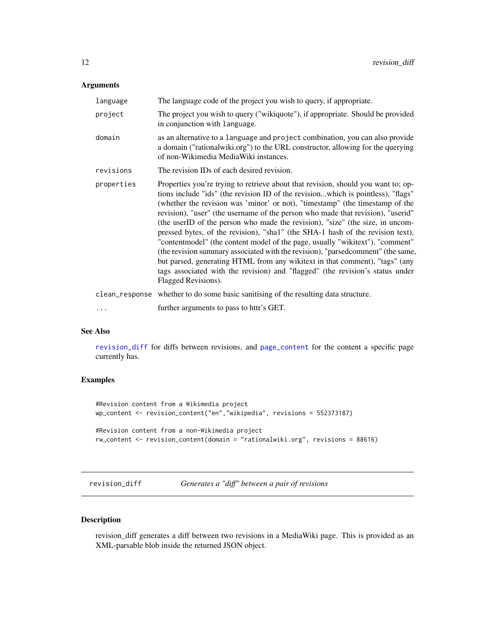# <span id="page-11-0"></span>Arguments

| language   | The language code of the project you wish to query, if appropriate.                                                                                                                                                                                                                                                                                                                                                                                                                                                                                                                                                                                                                                                                                                                                                                                                    |
|------------|------------------------------------------------------------------------------------------------------------------------------------------------------------------------------------------------------------------------------------------------------------------------------------------------------------------------------------------------------------------------------------------------------------------------------------------------------------------------------------------------------------------------------------------------------------------------------------------------------------------------------------------------------------------------------------------------------------------------------------------------------------------------------------------------------------------------------------------------------------------------|
| project    | The project you wish to query ("wikiquote"), if appropriate. Should be provided<br>in conjunction with language.                                                                                                                                                                                                                                                                                                                                                                                                                                                                                                                                                                                                                                                                                                                                                       |
| domain     | as an alternative to a language and project combination, you can also provide<br>a domain ("rationalwiki.org") to the URL constructor, allowing for the querying<br>of non-Wikimedia MediaWiki instances.                                                                                                                                                                                                                                                                                                                                                                                                                                                                                                                                                                                                                                                              |
| revisions  | The revision IDs of each desired revision.                                                                                                                                                                                                                                                                                                                                                                                                                                                                                                                                                                                                                                                                                                                                                                                                                             |
| properties | Properties you're trying to retrieve about that revision, should you want to; op-<br>tions include "ids" (the revision ID of the revisionwhich is pointless), "flags"<br>(whether the revision was 'minor' or not), "timestamp" (the timestamp of the<br>revision), "user" (the username of the person who made that revision), "userid"<br>(the userID of the person who made the revision), "size" (the size, in uncom-<br>pressed bytes, of the revision), "sha1" (the SHA-1 hash of the revision text),<br>"contentmodel" (the content model of the page, usually "wikitext"), "comment"<br>(the revision summary associated with the revision), "parsedcomment" (the same,<br>but parsed, generating HTML from any wikitext in that comment), "tags" (any<br>tags associated with the revision) and "flagged" (the revision's status under<br>Flagged Revisions). |
|            | clean_response whether to do some basic sanitising of the resulting data structure.                                                                                                                                                                                                                                                                                                                                                                                                                                                                                                                                                                                                                                                                                                                                                                                    |
| $\cdots$   | further arguments to pass to httr's GET.                                                                                                                                                                                                                                                                                                                                                                                                                                                                                                                                                                                                                                                                                                                                                                                                                               |

#### See Also

[revision\\_diff](#page-11-1) for diffs between revisions, and [page\\_content](#page-4-1) for the content a specific page currently has.

# Examples

```
#Revision content from a Wikimedia project
wp_content <- revision_content("en","wikipedia", revisions = 552373187)
#Revision content from a non-Wikimedia project
rw_content <- revision_content(domain = "rationalwiki.org", revisions = 88616)
```
<span id="page-11-1"></span>

# Description

revision\_diff generates a diff between two revisions in a MediaWiki page. This is provided as an XML-parsable blob inside the returned JSON object.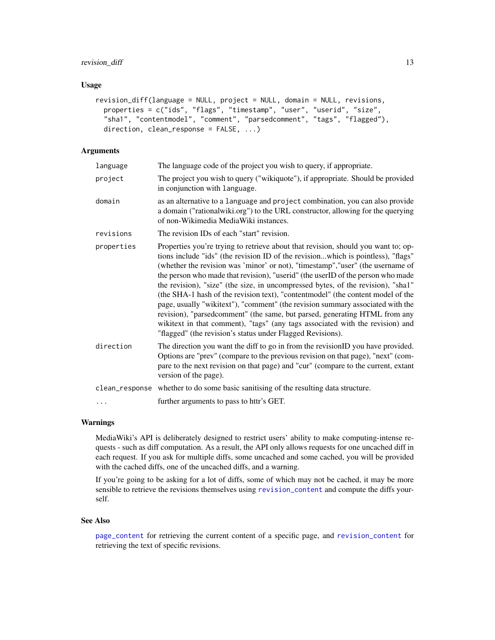# <span id="page-12-0"></span>revision\_diff 13

#### Usage

```
revision_diff(language = NULL, project = NULL, domain = NULL, revisions,
 properties = c("ids", "flags", "timestamp", "user", "userid", "size",
 "sha1", "contentmodel", "comment", "parsedcomment", "tags", "flagged"),
 direction, clean_response = FALSE, ...)
```
# Arguments

| language   | The language code of the project you wish to query, if appropriate.                                                                                                                                                                                                                                                                                                                                                                                                                                                                                                                                                                                                                                                                                                                                                               |
|------------|-----------------------------------------------------------------------------------------------------------------------------------------------------------------------------------------------------------------------------------------------------------------------------------------------------------------------------------------------------------------------------------------------------------------------------------------------------------------------------------------------------------------------------------------------------------------------------------------------------------------------------------------------------------------------------------------------------------------------------------------------------------------------------------------------------------------------------------|
| project    | The project you wish to query ("wikiquote"), if appropriate. Should be provided<br>in conjunction with language.                                                                                                                                                                                                                                                                                                                                                                                                                                                                                                                                                                                                                                                                                                                  |
| domain     | as an alternative to a language and project combination, you can also provide<br>a domain ("rationalwiki.org") to the URL constructor, allowing for the querying<br>of non-Wikimedia MediaWiki instances.                                                                                                                                                                                                                                                                                                                                                                                                                                                                                                                                                                                                                         |
| revisions  | The revision IDs of each "start" revision.                                                                                                                                                                                                                                                                                                                                                                                                                                                                                                                                                                                                                                                                                                                                                                                        |
| properties | Properties you're trying to retrieve about that revision, should you want to; op-<br>tions include "ids" (the revision ID of the revisionwhich is pointless), "flags"<br>(whether the revision was 'minor' or not), "timestamp", "user" (the username of<br>the person who made that revision), "userid" (the userID of the person who made<br>the revision), "size" (the size, in uncompressed bytes, of the revision), "shal"<br>(the SHA-1 hash of the revision text), "contentmodel" (the content model of the<br>page, usually "wikitext"), "comment" (the revision summary associated with the<br>revision), "parsedcomment" (the same, but parsed, generating HTML from any<br>wikitext in that comment), "tags" (any tags associated with the revision) and<br>"flagged" (the revision's status under Flagged Revisions). |
| direction  | The direction you want the diff to go in from the revisionID you have provided.<br>Options are "prev" (compare to the previous revision on that page), "next" (com-<br>pare to the next revision on that page) and "cur" (compare to the current, extant<br>version of the page).                                                                                                                                                                                                                                                                                                                                                                                                                                                                                                                                                 |
|            | clean_response whether to do some basic sanitising of the resulting data structure.                                                                                                                                                                                                                                                                                                                                                                                                                                                                                                                                                                                                                                                                                                                                               |
| $\ddots$ . | further arguments to pass to httr's GET.                                                                                                                                                                                                                                                                                                                                                                                                                                                                                                                                                                                                                                                                                                                                                                                          |
|            |                                                                                                                                                                                                                                                                                                                                                                                                                                                                                                                                                                                                                                                                                                                                                                                                                                   |

# Warnings

MediaWiki's API is deliberately designed to restrict users' ability to make computing-intense requests - such as diff computation. As a result, the API only allows requests for one uncached diff in each request. If you ask for multiple diffs, some uncached and some cached, you will be provided with the cached diffs, one of the uncached diffs, and a warning.

If you're going to be asking for a lot of diffs, some of which may not be cached, it may be more sensible to retrieve the revisions themselves using [revision\\_content](#page-10-1) and compute the diffs yourself.

#### See Also

[page\\_content](#page-4-1) for retrieving the current content of a specific page, and [revision\\_content](#page-10-1) for retrieving the text of specific revisions.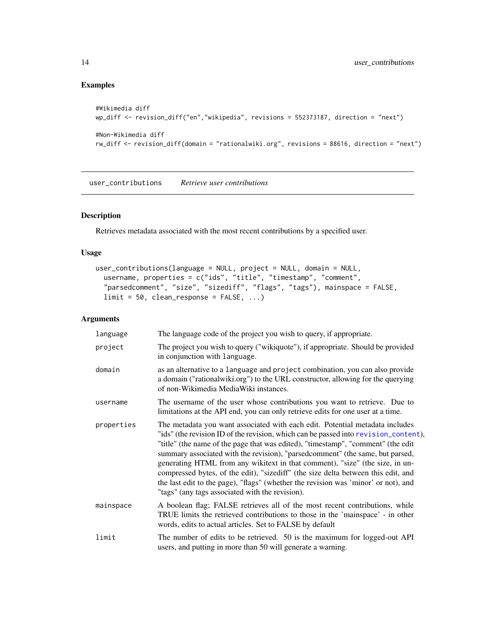# Examples

```
#Wikimedia diff
wp_diff <- revision_diff("en","wikipedia", revisions = 552373187, direction = "next")
#Non-Wikimedia diff
rw_diff <- revision_diff(domain = "rationalwiki.org", revisions = 88616, direction = "next")
```
<span id="page-13-1"></span>user\_contributions *Retrieve user contributions*

#### Description

Retrieves metadata associated with the most recent contributions by a specified user.

# Usage

```
user_contributions(language = NULL, project = NULL, domain = NULL,
 username, properties = c("ids", "title", "timestamp", "comment",
  "parsedcomment", "size", "sizediff", "flags", "tags"), mainspace = FALSE,
 limit = 50, clean\_response = FALSE, ...)
```

| language   | The language code of the project you wish to query, if appropriate.                                                                                                                                                                                                                                                                                                                                                                                                                                                                                                                                                                                    |
|------------|--------------------------------------------------------------------------------------------------------------------------------------------------------------------------------------------------------------------------------------------------------------------------------------------------------------------------------------------------------------------------------------------------------------------------------------------------------------------------------------------------------------------------------------------------------------------------------------------------------------------------------------------------------|
| project    | The project you wish to query ("wikiquote"), if appropriate. Should be provided<br>in conjunction with language.                                                                                                                                                                                                                                                                                                                                                                                                                                                                                                                                       |
| domain     | as an alternative to a language and project combination, you can also provide<br>a domain ("rationalwiki.org") to the URL constructor, allowing for the querying<br>of non-Wikimedia MediaWiki instances.                                                                                                                                                                                                                                                                                                                                                                                                                                              |
| username   | The username of the user whose contributions you want to retrieve. Due to<br>limitations at the API end, you can only retrieve edits for one user at a time.                                                                                                                                                                                                                                                                                                                                                                                                                                                                                           |
| properties | The metadata you want associated with each edit. Potential metadata includes<br>"ids" (the revision ID of the revision, which can be passed into revision_content),<br>"title" (the name of the page that was edited), "timestamp", "comment" (the edit<br>summary associated with the revision), "parsedcomment" (the same, but parsed,<br>generating HTML from any wikitext in that comment), "size" (the size, in un-<br>compressed bytes, of the edit), "sizediff" (the size delta between this edit, and<br>the last edit to the page), "flags" (whether the revision was 'minor' or not), and<br>"tags" (any tags associated with the revision). |
| mainspace  | A boolean flag; FALSE retrieves all of the most recent contributions, while<br>TRUE limits the retrieved contributions to those in the 'mainspace' - in other<br>words, edits to actual articles. Set to FALSE by default                                                                                                                                                                                                                                                                                                                                                                                                                              |
| limit      | The number of edits to be retrieved. 50 is the maximum for logged-out API<br>users, and putting in more than 50 will generate a warning.                                                                                                                                                                                                                                                                                                                                                                                                                                                                                                               |

<span id="page-13-0"></span>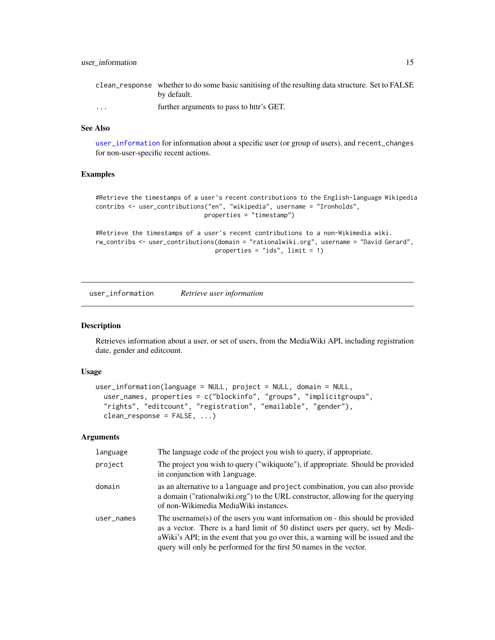<span id="page-14-0"></span>

|                      | clean_response whether to do some basic sanitising of the resulting data structure. Set to FALSE |
|----------------------|--------------------------------------------------------------------------------------------------|
|                      | by default.                                                                                      |
| $\ddot{\phantom{0}}$ | further arguments to pass to httr's GET.                                                         |

#### See Also

[user\\_information](#page-14-1) for information about a specific user (or group of users), and recent\_changes for non-user-specific recent actions.

# Examples

```
#Retrieve the timestamps of a user's recent contributions to the English-language Wikipedia
contribs <- user_contributions("en", "wikipedia", username = "Ironholds",
                              properties = "timestamp")
```

```
#Retrieve the timestamps of a user's recent contributions to a non-Wikimedia wiki.
rw_contribs <- user_contributions(domain = "rationalwiki.org", username = "David Gerard",
                                properties = "ids", limit = 1)
```
<span id="page-14-1"></span>user\_information *Retrieve user information*

#### Description

Retrieves information about a user, or set of users, from the MediaWiki API, including registration date, gender and editcount.

#### Usage

```
user_information(language = NULL, project = NULL, domain = NULL,
 user_names, properties = c("blockinfo", "groups", "implicitgroups",
  "rights", "editcount", "registration", "emailable", "gender"),
 clean_response = FALSE, ...)
```

| language   | The language code of the project you wish to query, if appropriate.                                                                                                                                                                                                                                                          |
|------------|------------------------------------------------------------------------------------------------------------------------------------------------------------------------------------------------------------------------------------------------------------------------------------------------------------------------------|
| project    | The project you wish to query ("wikiquote"), if appropriate. Should be provided<br>in conjunction with language.                                                                                                                                                                                                             |
| domain     | as an alternative to a language and project combination, you can also provide<br>a domain ("rational wiki.org") to the URL constructor, allowing for the querying<br>of non-Wikimedia MediaWiki instances.                                                                                                                   |
| user_names | The username(s) of the users you want information on - this should be provided<br>as a vector. There is a hard limit of 50 distinct users per query, set by Medi-<br>aWiki's API; in the event that you go over this, a warning will be issued and the<br>query will only be performed for the first 50 names in the vector. |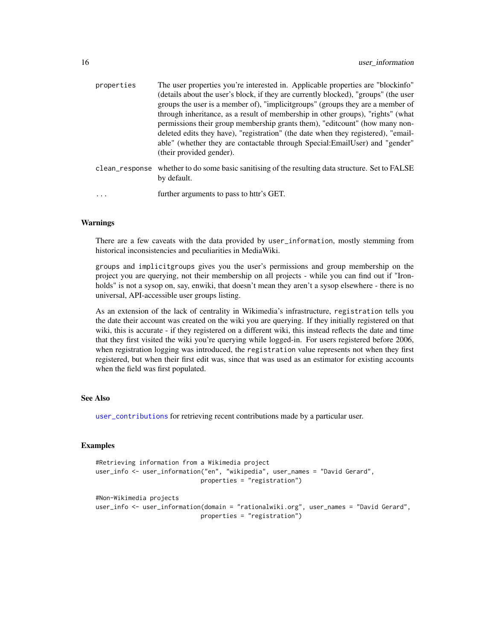<span id="page-15-0"></span>

| properties     | The user properties you're interested in. Applicable properties are "blockinfo"<br>(details about the user's block, if they are currently blocked), "groups" (the user<br>groups the user is a member of), "implicit groups" (groups they are a member of<br>through inheritance, as a result of membership in other groups), "rights" (what<br>permissions their group membership grants them), "editcount" (how many non-<br>deleted edits they have), "registration" (the date when they registered), "email-<br>able" (whether they are contactable through Special:EmailUser) and "gender"<br>(their provided gender). |
|----------------|-----------------------------------------------------------------------------------------------------------------------------------------------------------------------------------------------------------------------------------------------------------------------------------------------------------------------------------------------------------------------------------------------------------------------------------------------------------------------------------------------------------------------------------------------------------------------------------------------------------------------------|
| clean_response | whether to do some basic sanitising of the resulting data structure. Set to FALSE<br>by default.                                                                                                                                                                                                                                                                                                                                                                                                                                                                                                                            |
| $\cdots$       | further arguments to pass to httr's GET.                                                                                                                                                                                                                                                                                                                                                                                                                                                                                                                                                                                    |

#### Warnings

There are a few caveats with the data provided by user\_information, mostly stemming from historical inconsistencies and peculiarities in MediaWiki.

groups and implicitgroups gives you the user's permissions and group membership on the project you are querying, not their membership on all projects - while you can find out if "Ironholds" is not a sysop on, say, enwiki, that doesn't mean they aren't a sysop elsewhere - there is no universal, API-accessible user groups listing.

As an extension of the lack of centrality in Wikimedia's infrastructure, registration tells you the date their account was created on the wiki you are querying. If they initially registered on that wiki, this is accurate - if they registered on a different wiki, this instead reflects the date and time that they first visited the wiki you're querying while logged-in. For users registered before 2006, when registration logging was introduced, the registration value represents not when they first registered, but when their first edit was, since that was used as an estimator for existing accounts when the field was first populated.

# See Also

[user\\_contributions](#page-13-1) for retrieving recent contributions made by a particular user.

#### Examples

```
#Retrieving information from a Wikimedia project
user_info <- user_information("en", "wikipedia", user_names = "David Gerard",
                            properties = "registration")
#Non-Wikimedia projects
user_info <- user_information(domain = "rationalwiki.org", user_names = "David Gerard",
                             properties = "registration")
```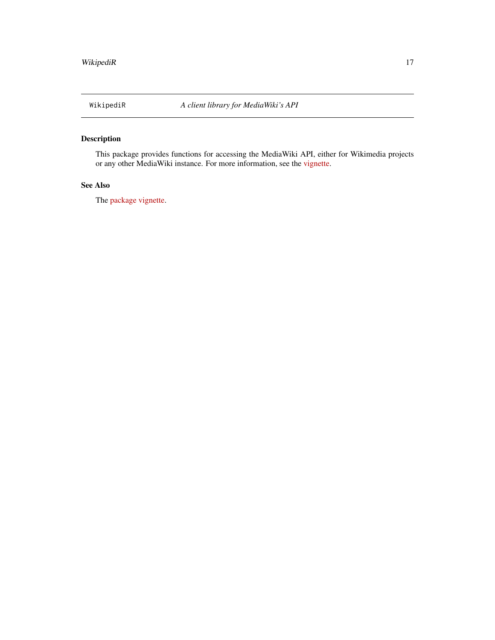# <span id="page-16-0"></span>Description

This package provides functions for accessing the MediaWiki API, either for Wikimedia projects or any other MediaWiki instance. For more information, see the [vignette.](https://CRAN.R-project.org/package=WikipediR/vignettes/WikipediR.html)

# See Also

The [package vignette.](https://CRAN.R-project.org/package=WikipediR/vignettes/WikipediR.html)